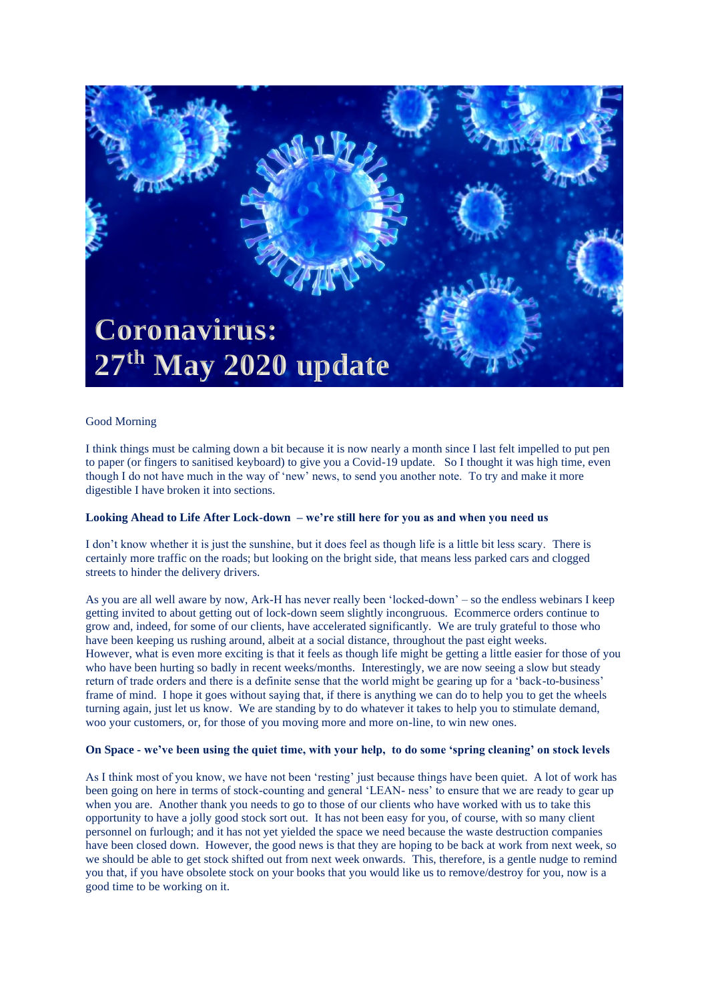

## Good Morning

I think things must be calming down a bit because it is now nearly a month since I last felt impelled to put pen to paper (or fingers to sanitised keyboard) to give you a Covid-19 update. So I thought it was high time, even though I do not have much in the way of 'new' news, to send you another note. To try and make it more digestible I have broken it into sections.

### **Looking Ahead to Life After Lock-down – we're still here for you as and when you need us**

I don't know whether it is just the sunshine, but it does feel as though life is a little bit less scary. There is certainly more traffic on the roads; but looking on the bright side, that means less parked cars and clogged streets to hinder the delivery drivers.

As you are all well aware by now, Ark-H has never really been 'locked-down' – so the endless webinars I keep getting invited to about getting out of lock-down seem slightly incongruous. Ecommerce orders continue to grow and, indeed, for some of our clients, have accelerated significantly. We are truly grateful to those who have been keeping us rushing around, albeit at a social distance, throughout the past eight weeks. However, what is even more exciting is that it feels as though life might be getting a little easier for those of you who have been hurting so badly in recent weeks/months. Interestingly, we are now seeing a slow but steady return of trade orders and there is a definite sense that the world might be gearing up for a 'back-to-business' frame of mind. I hope it goes without saying that, if there is anything we can do to help you to get the wheels turning again, just let us know. We are standing by to do whatever it takes to help you to stimulate demand, woo your customers, or, for those of you moving more and more on-line, to win new ones.

# **On Space - we've been using the quiet time, with your help, to do some 'spring cleaning' on stock levels**

As I think most of you know, we have not been 'resting' just because things have been quiet. A lot of work has been going on here in terms of stock-counting and general 'LEAN- ness' to ensure that we are ready to gear up when you are. Another thank you needs to go to those of our clients who have worked with us to take this opportunity to have a jolly good stock sort out. It has not been easy for you, of course, with so many client personnel on furlough; and it has not yet yielded the space we need because the waste destruction companies have been closed down. However, the good news is that they are hoping to be back at work from next week, so we should be able to get stock shifted out from next week onwards. This, therefore, is a gentle nudge to remind you that, if you have obsolete stock on your books that you would like us to remove/destroy for you, now is a good time to be working on it.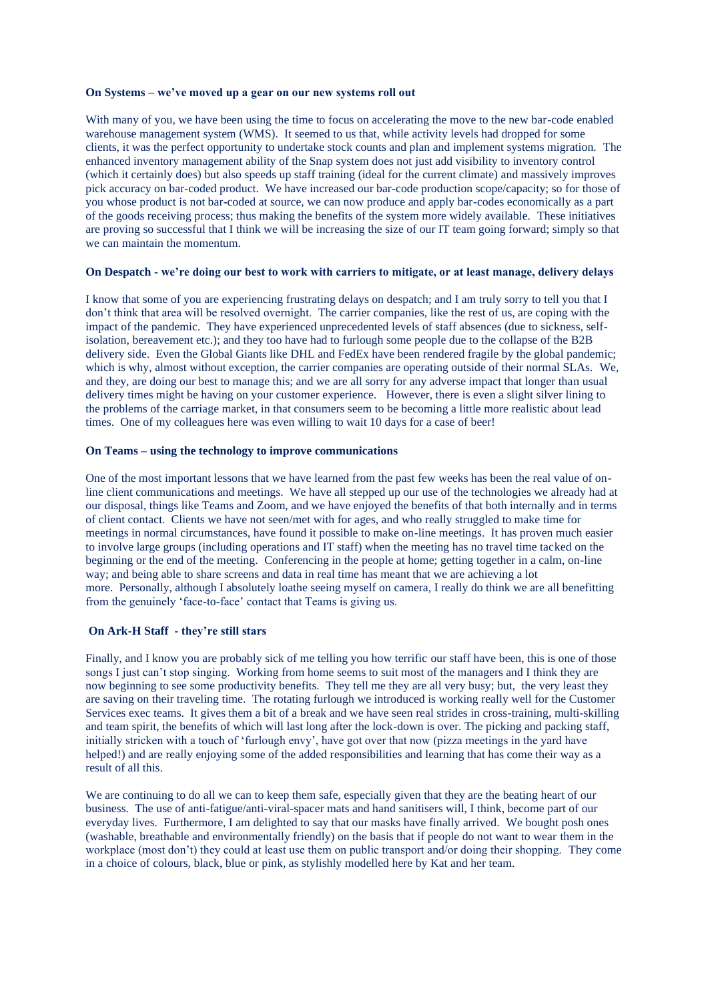#### **On Systems – we've moved up a gear on our new systems roll out**

With many of you, we have been using the time to focus on accelerating the move to the new bar-code enabled warehouse management system (WMS). It seemed to us that, while activity levels had dropped for some clients, it was the perfect opportunity to undertake stock counts and plan and implement systems migration. The enhanced inventory management ability of the Snap system does not just add visibility to inventory control (which it certainly does) but also speeds up staff training (ideal for the current climate) and massively improves pick accuracy on bar-coded product. We have increased our bar-code production scope/capacity; so for those of you whose product is not bar-coded at source, we can now produce and apply bar-codes economically as a part of the goods receiving process; thus making the benefits of the system more widely available. These initiatives are proving so successful that I think we will be increasing the size of our IT team going forward; simply so that we can maintain the momentum.

### **On Despatch - we're doing our best to work with carriers to mitigate, or at least manage, delivery delays**

I know that some of you are experiencing frustrating delays on despatch; and I am truly sorry to tell you that I don't think that area will be resolved overnight. The carrier companies, like the rest of us, are coping with the impact of the pandemic. They have experienced unprecedented levels of staff absences (due to sickness, selfisolation, bereavement etc.); and they too have had to furlough some people due to the collapse of the B2B delivery side. Even the Global Giants like DHL and FedEx have been rendered fragile by the global pandemic; which is why, almost without exception, the carrier companies are operating outside of their normal SLAs. We, and they, are doing our best to manage this; and we are all sorry for any adverse impact that longer than usual delivery times might be having on your customer experience. However, there is even a slight silver lining to the problems of the carriage market, in that consumers seem to be becoming a little more realistic about lead times. One of my colleagues here was even willing to wait 10 days for a case of beer!

# **On Teams – using the technology to improve communications**

One of the most important lessons that we have learned from the past few weeks has been the real value of online client communications and meetings. We have all stepped up our use of the technologies we already had at our disposal, things like Teams and Zoom, and we have enjoyed the benefits of that both internally and in terms of client contact. Clients we have not seen/met with for ages, and who really struggled to make time for meetings in normal circumstances, have found it possible to make on-line meetings. It has proven much easier to involve large groups (including operations and IT staff) when the meeting has no travel time tacked on the beginning or the end of the meeting. Conferencing in the people at home; getting together in a calm, on-line way; and being able to share screens and data in real time has meant that we are achieving a lot more. Personally, although I absolutely loathe seeing myself on camera, I really do think we are all benefitting from the genuinely 'face-to-face' contact that Teams is giving us.

## **On Ark-H Staff - they're still stars**

Finally, and I know you are probably sick of me telling you how terrific our staff have been, this is one of those songs I just can't stop singing. Working from home seems to suit most of the managers and I think they are now beginning to see some productivity benefits. They tell me they are all very busy; but, the very least they are saving on their traveling time. The rotating furlough we introduced is working really well for the Customer Services exec teams. It gives them a bit of a break and we have seen real strides in cross-training, multi-skilling and team spirit, the benefits of which will last long after the lock-down is over. The picking and packing staff, initially stricken with a touch of 'furlough envy', have got over that now (pizza meetings in the yard have helped!) and are really enjoying some of the added responsibilities and learning that has come their way as a result of all this.

We are continuing to do all we can to keep them safe, especially given that they are the beating heart of our business. The use of anti-fatigue/anti-viral-spacer mats and hand sanitisers will, I think, become part of our everyday lives. Furthermore, I am delighted to say that our masks have finally arrived. We bought posh ones (washable, breathable and environmentally friendly) on the basis that if people do not want to wear them in the workplace (most don't) they could at least use them on public transport and/or doing their shopping. They come in a choice of colours, black, blue or pink, as stylishly modelled here by Kat and her team.